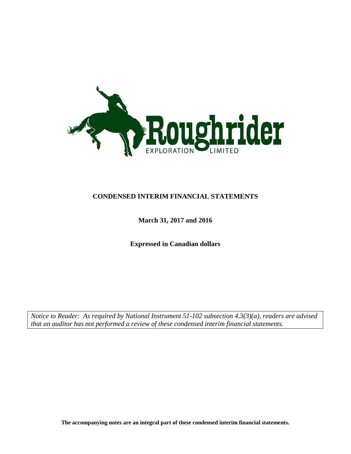

### **CONDENSED INTERIM FINANCIAL STATEMENTS**

### **March 31, 2017 and 2016**

**Expressed in Canadian dollars**

*Notice to Reader: As required by National Instrument 51-102 subsection 4.3(3)(a), readers are advised that an auditor has not performed a review of these condensed interim financial statements.*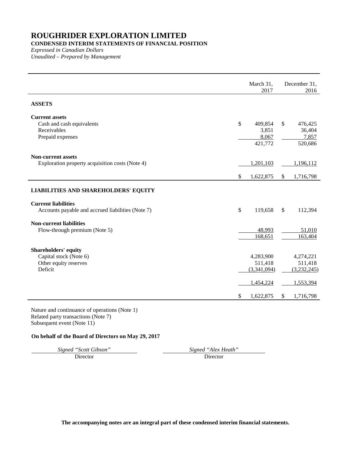### **CONDENSED INTERIM STATEMENTS OF FINANCIAL POSITION**

*Expressed in Canadian Dollars Unaudited – Prepared by Management*

|                                                                                           | March 31,<br>2017                                | December 31,<br>2016                                   |
|-------------------------------------------------------------------------------------------|--------------------------------------------------|--------------------------------------------------------|
| <b>ASSETS</b>                                                                             |                                                  |                                                        |
| <b>Current assets</b><br>Cash and cash equivalents<br>Receivables<br>Prepaid expenses     | \$<br>409,854<br>3,851<br>8,067<br>421,772       | $\mathcal{S}$<br>476,425<br>36,404<br>7,857<br>520,686 |
| <b>Non-current assets</b><br>Exploration property acquisition costs (Note 4)              | \$<br>1,201,103<br>1,622,875                     | 1,196,112<br>$\mathbb{S}$<br>1,716,798                 |
| <b>LIABILITIES AND SHAREHOLDERS' EQUITY</b>                                               |                                                  |                                                        |
| <b>Current liabilities</b><br>Accounts payable and accrued liabilities (Note 7)           | \$<br>119,658                                    | $\mathbb{S}$<br>112,394                                |
| <b>Non-current liabilities</b><br>Flow-through premium (Note 5)                           | 48,993<br>168,651                                | 51,010<br>163,404                                      |
| <b>Shareholders' equity</b><br>Capital stock (Note 6)<br>Other equity reserves<br>Deficit | 4,283,900<br>511,418<br>(3,341,094)<br>1,454,224 | 4,274,221<br>511,418<br>(3,232,245)<br>1,553,394       |
|                                                                                           | \$<br>1,622,875                                  | 1,716,798<br>$\mathbb{S}$                              |

Nature and continuance of operations (Note 1) Related party transactions (Note 7) Subsequent event (Note 11)

### **On behalf of the Board of Directors on May 29, 2017**

*Signed "Scott Gibson" Signed "Alex Heath"*

Director Director Director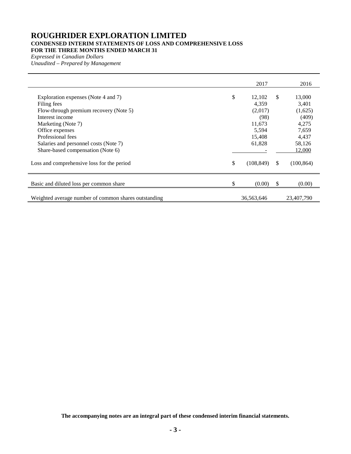### **ROUGHRIDER EXPLORATION LIMITED CONDENSED INTERIM STATEMENTS OF LOSS AND COMPREHENSIVE LOSS FOR THE THREE MONTHS ENDED MARCH 31**

*Expressed in Canadian Dollars*

*Unaudited – Prepared by Management*

|                                                                                                                                                          | 2017                                                        |               | 2016                                                  |
|----------------------------------------------------------------------------------------------------------------------------------------------------------|-------------------------------------------------------------|---------------|-------------------------------------------------------|
| Exploration expenses (Note 4 and 7)<br>Filing fees<br>Flow-through premium recovery (Note 5)<br>Interest income<br>Marketing (Note 7)<br>Office expenses | \$<br>12,102<br>4,359<br>(2,017)<br>(98)<br>11,673<br>5,594 | S             | 13,000<br>3,401<br>(1,625)<br>(409)<br>4,275<br>7,659 |
| Professional fees<br>Salaries and personnel costs (Note 7)<br>Share-based compensation (Note 6)                                                          | 15,408<br>61,828                                            |               | 4,437<br>58,126<br>12,000                             |
| Loss and comprehensive loss for the period                                                                                                               | \$<br>(108, 849)                                            | <sup>\$</sup> | (100, 864)                                            |
| Basic and diluted loss per common share                                                                                                                  | (0.00)                                                      | -S            | (0.00)                                                |
| Weighted average number of common shares outstanding                                                                                                     | 36,563,646                                                  |               | 23,407,790                                            |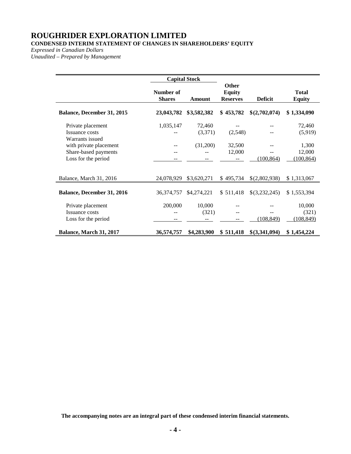### **CONDENSED INTERIM STATEMENT OF CHANGES IN SHAREHOLDERS' EQUITY**

*Expressed in Canadian Dollars*

*Unaudited – Prepared by Management*

|                                                                       |                            | <b>Capital Stock</b> |                                                  |                |                               |
|-----------------------------------------------------------------------|----------------------------|----------------------|--------------------------------------------------|----------------|-------------------------------|
|                                                                       | Number of<br><b>Shares</b> | Amount               | <b>Other</b><br><b>Equity</b><br><b>Reserves</b> | <b>Deficit</b> | <b>Total</b><br><b>Equity</b> |
| Balance, December 31, 2015                                            | 23,043,782                 | \$3,582,382          | \$453,782                                        | \$(2,702,074)  | \$1,334,090                   |
| Private placement<br>Issuance costs<br>Warrants issued                | 1,035,147                  | 72,460<br>(3,371)    | (2,548)                                          |                | 72,460<br>(5,919)             |
| with private placement<br>Share-based payments<br>Loss for the period |                            | (31,200)             | 32,500<br>12,000                                 | (100, 864)     | 1,300<br>12,000<br>(100, 864) |
| Balance, March 31, 2016                                               | 24,078,929                 | \$3,620,271          | \$495,734                                        | \$(2,802,938)  | \$1,313,067                   |
| Balance, December 31, 2016                                            | 36, 374, 757               | \$4,274,221          | \$511,418                                        | \$(3,232,245)  | \$1,553,394                   |
| Private placement<br>Issuance costs<br>Loss for the period            | 200,000<br>--              | 10,000<br>(321)      |                                                  | (108, 849)     | 10,000<br>(321)<br>(108, 849) |
| Balance, March 31, 2017                                               | 36,574,757                 | \$4,283,900          | \$511,418                                        | \$(3,341,094)  | \$1,454,224                   |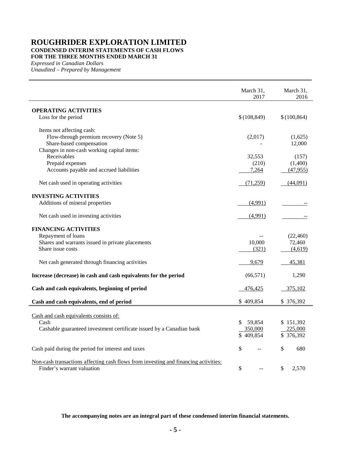### **ROUGHRIDER EXPLORATION LIMITED CONDENSED INTERIM STATEMENTS OF CASH FLOWS FOR THE THREE MONTHS ENDED MARCH 31**

*Expressed in Canadian Dollars*

*Unaudited – Prepared by Management*

|                                                                                                                   | March 31,<br>2017    | March 31,<br>2016    |
|-------------------------------------------------------------------------------------------------------------------|----------------------|----------------------|
| <b>OPERATING ACTIVITIES</b>                                                                                       |                      |                      |
| Loss for the period                                                                                               | \$(108, 849)         | \$(100, 864)         |
| Items not affecting cash:                                                                                         |                      |                      |
| Flow-through premium recovery (Note 5)                                                                            | (2,017)              | (1,625)              |
| Share-based compensation                                                                                          |                      | 12,000               |
| Changes in non-cash working capital items:                                                                        |                      |                      |
| Receivables                                                                                                       | 32,553               | (157)                |
| Prepaid expenses<br>Accounts payable and accrued liabilities                                                      | (210)<br>7,264       | (1,400)<br>(47, 955) |
|                                                                                                                   |                      |                      |
| Net cash used in operating activities                                                                             | (71,259)             | (44,091)             |
| <b>INVESTING ACTIVITIES</b>                                                                                       |                      |                      |
| Additions of mineral properties                                                                                   | (4,991)              |                      |
|                                                                                                                   |                      |                      |
| Net cash used in investing activities                                                                             | (4,991)              |                      |
| <b>FINANCING ACTIVITIES</b>                                                                                       |                      |                      |
| Repayment of loans                                                                                                |                      | (22, 460)            |
| Shares and warrants issued in private placements                                                                  | 10,000               | 72,460               |
| Share issue costs                                                                                                 | (321)                | (4,619)              |
| Net cash generated through financing activities                                                                   | 9,679                | 45,381               |
|                                                                                                                   |                      |                      |
| Increase (decrease) in cash and cash equivalents for the period                                                   | (66, 571)            | 1,290                |
| Cash and cash equivalents, beginning of period                                                                    | 476,425              | 375,102              |
| Cash and cash equivalents, end of period                                                                          | \$409,854            | \$376,392            |
|                                                                                                                   |                      |                      |
| Cash and cash equivalents consists of:                                                                            |                      |                      |
| Cash                                                                                                              | \$<br>59,854         | \$151,392            |
| Cashable guaranteed investment certificate issued by a Canadian bank                                              | 350,000<br>\$409,854 | 225,000<br>\$376,392 |
|                                                                                                                   |                      |                      |
| Cash paid during the period for interest and taxes                                                                | \$<br>$-$            | \$<br>680            |
|                                                                                                                   |                      |                      |
| Non-cash transactions affecting cash flows from investing and financing activities:<br>Finder's warrant valuation | \$<br>--             | \$<br>2,570          |
|                                                                                                                   |                      |                      |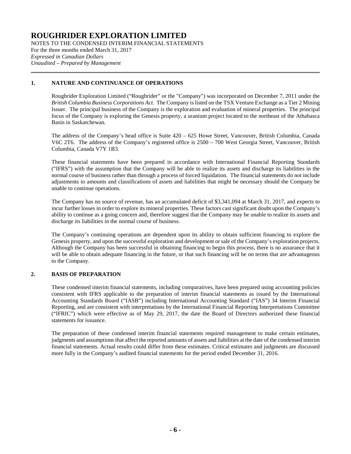NOTES TO THE CONDENSED INTERIM FINANCIAL STATEMENTS For the three months ended March 31, 2017 *Expressed in Canadian Dollars Unaudited – Prepared by Management*

#### **1. NATURE AND CONTINUANCE OF OPERATIONS**

Roughrider Exploration Limited ("Roughrider" or the "Company") was incorporated on December 7, 2011 under the *British Columbia Business Corporations Act*. The Company is listed on the TSX Venture Exchange as a Tier 2 Mining Issuer. The principal business of the Company is the exploration and evaluation of mineral properties. The principal focus of the Company is exploring the Genesis property, a uranium project located to the northeast of the Athabasca Basin in Saskatchewan.

The address of the Company's head office is Suite 420 – 625 Howe Street, Vancouver, British Columbia, Canada V6C 2T6. The address of the Company's registered office is 2500 – 700 West Georgia Street, Vancouver, British Columbia, Canada V7Y 1B3.

These financial statements have been prepared in accordance with International Financial Reporting Standards ("IFRS") with the assumption that the Company will be able to realize its assets and discharge its liabilities in the normal course of business rather than through a process of forced liquidation. The financial statements do not include adjustments to amounts and classifications of assets and liabilities that might be necessary should the Company be unable to continue operations.

The Company has no source of revenue, has an accumulated deficit of \$3,341,094 at March 31, 2017, and expects to incur further losses in order to explore its mineral properties. These factors cast significant doubt upon the Company's ability to continue as a going concern and, therefore suggest that the Company may be unable to realize its assets and discharge its liabilities in the normal course of business.

The Company's continuing operations are dependent upon its ability to obtain sufficient financing to explore the Genesis property, and upon the successful exploration and development or sale of the Company's exploration projects. Although the Company has been successful in obtaining financing to begin this process, there is no assurance that it will be able to obtain adequate financing in the future, or that such financing will be on terms that are advantageous to the Company.

#### **2. BASIS OF PREPARATION**

These condensed interim financial statements, including comparatives, have been prepared using accounting policies consistent with IFRS applicable to the preparation of interim financial statements as issued by the International Accounting Standards Board ("IASB") including International Accounting Standard ("IAS") 34 Interim Financial Reporting, and are consistent with interpretations by the International Financial Reporting Interpretations Committee ("IFRIC") which were effective as of May 29, 2017, the date the Board of Directors authorized these financial statements for issuance.

The preparation of these condensed interim financial statements required management to make certain estimates, judgments and assumptions that affect the reported amounts of assets and liabilities at the date of the condensed interim financial statements. Actual results could differ from these estimates. Critical estimates and judgments are discussed more fully in the Company's audited financial statements for the period ended December 31, 2016.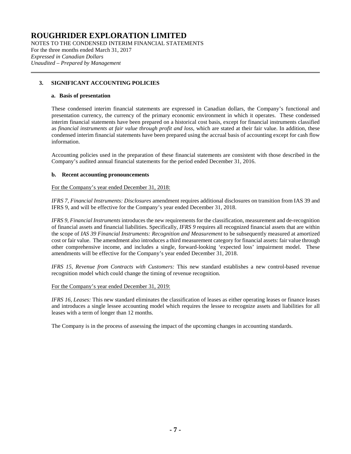NOTES TO THE CONDENSED INTERIM FINANCIAL STATEMENTS For the three months ended March 31, 2017 *Expressed in Canadian Dollars Unaudited – Prepared by Management*

#### **3. SIGNIFICANT ACCOUNTING POLICIES**

#### **a. Basis of presentation**

These condensed interim financial statements are expressed in Canadian dollars, the Company's functional and presentation currency, the currency of the primary economic environment in which it operates. These condensed interim financial statements have been prepared on a historical cost basis, except for financial instruments classified as *financial instruments at fair value through profit and loss*, which are stated at their fair value. In addition, these condensed interim financial statements have been prepared using the accrual basis of accounting except for cash flow information.

Accounting policies used in the preparation of these financial statements are consistent with those described in the Company's audited annual financial statements for the period ended December 31, 2016.

#### **b. Recent accounting pronouncements**

For the Company's year ended December 31, 2018:

*IFRS 7, Financial Instruments: Disclosures* amendment requires additional disclosures on transition from IAS 39 and IFRS 9, and will be effective for the Company's year ended December 31, 2018.

*IFRS 9, Financial Instruments* introduces the new requirements for the classification, measurement and de-recognition of financial assets and financial liabilities. Specifically, *IFRS 9* requires all recognized financial assets that are within the scope of *IAS 39 Financial Instruments: Recognition and Measurement* to be subsequently measured at amortized cost or fair value. The amendment also introduces a third measurement category for financial assets: fair value through other comprehensive income, and includes a single, forward-looking 'expected loss' impairment model. These amendments will be effective for the Company's year ended December 31, 2018.

*IFRS 15, Revenue from Contracts with Customers:* This new standard establishes a new control-based revenue recognition model which could change the timing of revenue recognition.

#### For the Company's year ended December 31, 2019:

*IFRS 16, Leases:* This new standard eliminates the classification of leases as either operating leases or finance leases and introduces a single lessee accounting model which requires the lessee to recognize assets and liabilities for all leases with a term of longer than 12 months.

The Company is in the process of assessing the impact of the upcoming changes in accounting standards.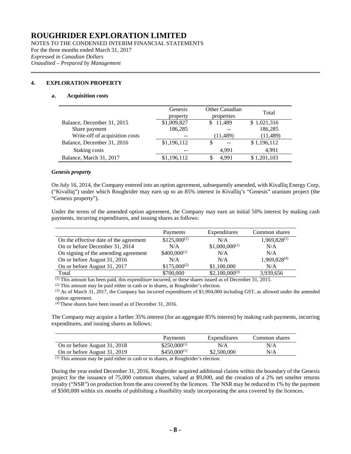NOTES TO THE CONDENSED INTERIM FINANCIAL STATEMENTS For the three months ended March 31, 2017 *Expressed in Canadian Dollars Unaudited – Prepared by Management*

#### <span id="page-7-0"></span>**4. EXPLORATION PROPERTY**

#### **a. Acquisition costs**

|                                | Genesis<br>property | Other Canadian<br>properties | Total       |
|--------------------------------|---------------------|------------------------------|-------------|
| Balance, December 31, 2015     | \$1,009,827         | \$11,489                     | \$1,021,316 |
| Share payment                  | 186,285             |                              | 186,285     |
| Write-off of acquisition costs |                     | (11, 489)                    | (11, 489)   |
| Balance, December 31, 2016     | \$1,196,112         | S<br>--                      | \$1,196,112 |
| Staking costs                  | --                  | 4.991                        | 4.991       |
| Balance, March 31, 2017        | \$1,196,112         | 4.991                        | \$1,201,103 |

#### *Genesis property*

On July 16, 2014, the Company entered into an option agreement, subsequently amended, with Kivalliq Energy Corp, ("Kivalliq") under which Roughrider may earn up to an 85% interest in Kivalliq's "Genesis" uranium project (the "Genesis property").

Under the terms of the amended option agreement, the Company may earn an initial 50% interest by making cash payments, incurring expenditures, and issuing shares as follows:

|                                        | Payments         | Expenditures       | Common shares |
|----------------------------------------|------------------|--------------------|---------------|
| On the effective date of the agreement | $$125,000^{(1)}$ | N/A                | 1,969,828(1)  |
| On or before December 31, 2014         | N/A              | $$1,000,000^{(1)}$ | N/A           |
| On signing of the amending agreement   | $$400,000^{(1)}$ | N/A                | N/A           |
| On or before August 31, 2016           | N/A              | N/A                | 1,969,828(4)  |
| On or before August 31, 2017           | $$175,000^{(2)}$ | \$1,100,000        | N/A           |
| Total                                  | \$700,000        | $$2,100,000^{(3)}$ | 3,939,656     |

(1) This amount has been paid, this expenditure incurred, or these shares issued as of December 31, 2015.

(2) This amount may be paid either in cash or in shares, at Roughrider's election.

 $^{(3)}$  As of March 31, 2017, the Company has incurred expenditures of \$1,904,000 including GST, as allowed under the amended option agreement.

(4) These shares have been issued as of December 31, 2016.

The Company may acquire a further 35% interest (for an aggregate 85% interest) by making cash payments, incurring expenditures, and issuing shares as follows:

|                              | Payments          | Expenditures | Common shares |
|------------------------------|-------------------|--------------|---------------|
| On or before August 31, 2018 | $$250,000^{(1)}$$ | N/A          | N/A           |
| On or before August 31, 2019 | $$450,000^{(1)}$  | \$2,500,000  | N/A           |

 $\overline{^{(1)}}$  This amount may be paid either in cash or in shares, at Roughrider's election.

During the year ended December 31, 2016, Roughrider acquired additional claims within the boundary of the Genesis project for the issuance of 75,000 common shares, valued at \$9,000, and the creation of a 2% net smelter returns royalty ("NSR") on production from the area covered by the licences. The NSR may be reduced to 1% by the payment of \$500,000 within six months of publishing a feasibility study incorporating the area covered by the licences.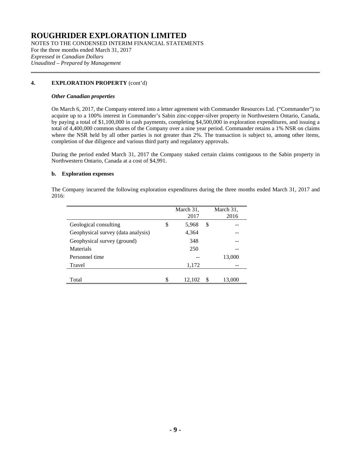NOTES TO THE CONDENSED INTERIM FINANCIAL STATEMENTS For the three months ended March 31, 2017 *Expressed in Canadian Dollars Unaudited – Prepared by Management*

#### **[4.](#page-7-0) EXPLORATION PROPERTY** (cont'd)

#### *Other Canadian properties*

On March 6, 2017, the Company entered into a letter agreement with Commander Resources Ltd. ("Commander") to acquire up to a 100% interest in Commander's Sabin zinc-copper-silver property in Northwestern Ontario, Canada, by paying a total of \$1,100,000 in cash payments, completing \$4,500,000 in exploration expenditures, and issuing a total of 4,400,000 common shares of the Company over a nine year period. Commander retains a 1% NSR on claims where the NSR held by all other parties is not greater than 2%. The transaction is subject to, among other items, completion of due diligence and various third party and regulatory approvals.

During the period ended March 31, 2017 the Company staked certain claims contiguous to the Sabin property in Northwestern Ontario, Canada at a cost of \$4,991.

#### **b. Exploration expenses**

The Company incurred the following exploration expenditures during the three months ended March 31, 2017 and 2016:

|                                    |    | March 31, | March 31, |
|------------------------------------|----|-----------|-----------|
|                                    |    | 2017      | 2016      |
| Geological consulting              | \$ | 5,968     | \$        |
| Geophysical survey (data analysis) |    | 4,364     |           |
| Geophysical survey (ground)        |    | 348       |           |
| Materials                          |    | 250       |           |
| Personnel time                     |    |           | 13,000    |
| Travel                             |    | 1,172     |           |
|                                    |    |           |           |
| Total                              | S  | 12,102    | 13,000    |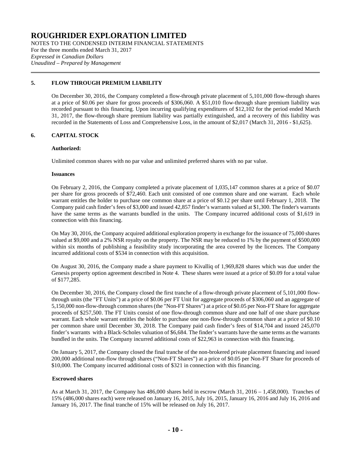NOTES TO THE CONDENSED INTERIM FINANCIAL STATEMENTS For the three months ended March 31, 2017 *Expressed in Canadian Dollars Unaudited – Prepared by Management*

#### **5. FLOW THROUGH PREMIUM LIABILITY**

On December 30, 2016, the Company completed a flow-through private placement of 5,101,000 flow-through shares at a price of \$0.06 per share for gross proceeds of \$306,060. A \$51,010 flow-through share premium liability was recorded pursuant to this financing. Upon incurring qualifying expenditures of \$12,102 for the period ended March 31, 2017, the flow-through share premium liability was partially extinguished, and a recovery of this liability was recorded in the Statements of Loss and Comprehensive Loss, in the amount of \$2,017 (March 31, 2016 - \$1,625).

#### **6. CAPITAL STOCK**

#### **Authorized:**

Unlimited common shares with no par value and unlimited preferred shares with no par value.

#### **Issuances**

On February 2, 2016, the Company completed a private placement of 1,035,147 common shares at a price of \$0.07 per share for gross proceeds of \$72,460. Each unit consisted of one common share and one warrant. Each whole warrant entitles the holder to purchase one common share at a price of \$0.12 per share until February 1, 2018. The Company paid cash finder's fees of \$3,000 and issued 42,857 finder's warrants valued at \$1,300. The finder's warrants have the same terms as the warrants bundled in the units. The Company incurred additional costs of \$1,619 in connection with this financing.

On May 30, 2016, the Company acquired additional exploration property in exchange for the issuance of 75,000 shares valued at \$9,000 and a 2% NSR royalty on the property. The NSR may be reduced to 1% by the payment of \$500,000 within six months of publishing a feasibility study incorporating the area covered by the licences. The Company incurred additional costs of \$534 in connection with this acquisition.

On August 30, 2016, the Company made a share payment to Kivalliq of 1,969,828 shares which was due under the Genesis property option agreement described in Note 4. These shares were issued at a price of \$0.09 for a total value of \$177,285.

On December 30, 2016, the Company closed the first tranche of a flow-through private placement of 5,101,000 flowthrough units (the "FT Units") at a price of \$0.06 per FT Unit for aggregate proceeds of \$306,060 and an aggregate of 5,150,000 non-flow-through common shares (the "Non-FT Shares") at a price of \$0.05 per Non-FT Share for aggregate proceeds of \$257,500. The FT Units consist of one flow-through common share and one half of one share purchase warrant. Each whole warrant entitles the holder to purchase one non-flow-through common share at a price of \$0.10 per common share until December 30, 2018. The Company paid cash finder's fees of \$14,704 and issued 245,070 finder's warrants with a Black-Scholes valuation of \$6,684. The finder's warrants have the same terms as the warrants bundled in the units. The Company incurred additional costs of \$22,963 in connection with this financing.

On January 5, 2017, the Company closed the final tranche of the non-brokered private placement financing and issued 200,000 additional non-flow through shares ("Non-FT Shares") at a price of \$0.05 per Non-FT Share for proceeds of \$10,000. The Company incurred additional costs of \$321 in connection with this financing.

#### **Escrowed shares**

As at March 31, 2017, the Company has 486,000 shares held in escrow (March 31, 2016 – 1,458,000). Tranches of 15% (486,000 shares each) were released on January 16, 2015, July 16, 2015, January 16, 2016 and July 16, 2016 and January 16, 2017. The final tranche of 15% will be released on July 16, 2017.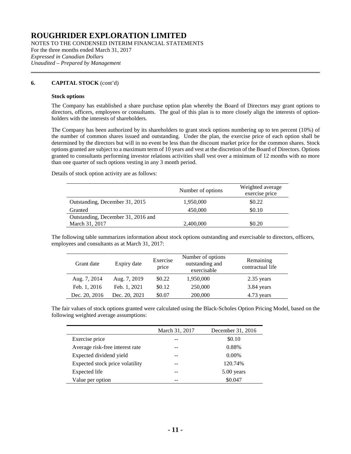NOTES TO THE CONDENSED INTERIM FINANCIAL STATEMENTS For the three months ended March 31, 2017 *Expressed in Canadian Dollars Unaudited – Prepared by Management*

#### **6. CAPITAL STOCK** (cont'd)

#### **Stock options**

The Company has established a share purchase option plan whereby the Board of Directors may grant options to directors, officers, employees or consultants. The goal of this plan is to more closely align the interests of optionholders with the interests of shareholders.

The Company has been authorized by its shareholders to grant stock options numbering up to ten percent (10%) of the number of common shares issued and outstanding. Under the plan, the exercise price of each option shall be determined by the directors but will in no event be less than the discount market price for the common shares. Stock options granted are subject to a maximum term of 10 years and vest at the discretion of the Board of Directors. Options granted to consultants performing investor relations activities shall vest over a minimum of 12 months with no more than one quarter of such options vesting in any 3 month period.

Details of stock option activity are as follows:

|                                    | Number of options | Weighted average<br>exercise price |
|------------------------------------|-------------------|------------------------------------|
| Outstanding, December 31, 2015     | 1,950,000         | \$0.22                             |
| Granted                            | 450,000           | \$0.10                             |
| Outstanding, December 31, 2016 and |                   |                                    |
| March 31, 2017                     | 2,400,000         | \$0.20                             |

The following table summarizes information about stock options outstanding and exercisable to directors, officers, employees and consultants as at March 31, 2017:

| Grant date    | Expiry date   | Exercise<br>price | Number of options<br>outstanding and<br>exercisable | Remaining<br>contractual life |
|---------------|---------------|-------------------|-----------------------------------------------------|-------------------------------|
| Aug. 7, 2014  | Aug. 7, 2019  | \$0.22            | 1,950,000                                           | $2.35$ years                  |
| Feb. 1, 2016  | Feb. 1, 2021  | \$0.12            | 250,000                                             | 3.84 years                    |
| Dec. 20, 2016 | Dec. 20, 2021 | \$0.07            | 200,000                                             | 4.73 years                    |

The fair values of stock options granted were calculated using the Black-Scholes Option Pricing Model, based on the following weighted average assumptions:

|                                 | March 31, 2017 | December 31, 2016 |
|---------------------------------|----------------|-------------------|
| Exercise price                  | --             | \$0.10            |
| Average risk-free interest rate | --             | 0.88%             |
| Expected dividend yield         |                | $0.00\%$          |
| Expected stock price volatility |                | 120.74%           |
| Expected life                   |                | 5.00 years        |
| Value per option                |                | \$0.047           |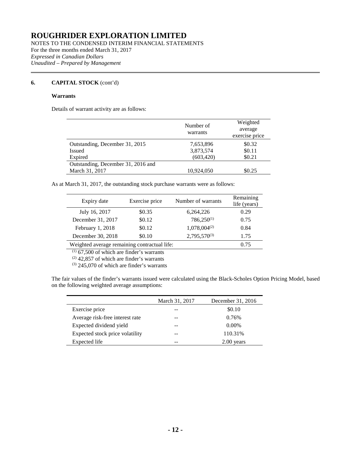NOTES TO THE CONDENSED INTERIM FINANCIAL STATEMENTS For the three months ended March 31, 2017 *Expressed in Canadian Dollars Unaudited – Prepared by Management*

#### **6. CAPITAL STOCK** (cont'd)

#### **Warrants**

Details of warrant activity are as follows:

|                                    | Number of<br>warrants | Weighted<br>average<br>exercise price |
|------------------------------------|-----------------------|---------------------------------------|
| Outstanding, December 31, 2015     | 7,653,896             | \$0.32                                |
| <b>Issued</b>                      | 3,873,574             | \$0.11                                |
| Expired                            | (603, 420)            | \$0.21                                |
| Outstanding, December 31, 2016 and |                       |                                       |
| March 31, 2017                     | 10,924,050            | \$0.25                                |

As at March 31, 2017, the outstanding stock purchase warrants were as follows:

| Expiry date                                  | Exercise price | Number of warrants | Remaining<br>life (years) |
|----------------------------------------------|----------------|--------------------|---------------------------|
| July 16, 2017                                | \$0.35         | 6,264,226          | 0.29                      |
| December 31, 2017                            | \$0.12         | $786,250^{(1)}$    | 0.75                      |
| February 1, 2018                             | \$0.12         | $1,078,004^{(2)}$  | 0.84                      |
| December 30, 2018                            | \$0.10         | $2,795,570^{(3)}$  | 1.75                      |
| Weighted average remaining contractual life: | 0.75           |                    |                           |

 $(1)$  67,500 of which are finder's warrants

 $(2)$  42,857 of which are finder's warrants

 $(3)$  245,070 of which are finder's warrants

The fair values of the finder's warrants issued were calculated using the Black-Scholes Option Pricing Model, based on the following weighted average assumptions:

|                                 | March 31, 2017 | December 31, 2016 |
|---------------------------------|----------------|-------------------|
| Exercise price                  |                | \$0.10            |
| Average risk-free interest rate |                | 0.76%             |
| Expected dividend yield         |                | $0.00\%$          |
| Expected stock price volatility |                | 110.31%           |
| Expected life                   |                | $2.00$ years      |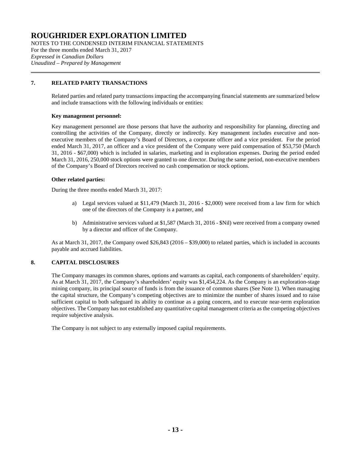NOTES TO THE CONDENSED INTERIM FINANCIAL STATEMENTS For the three months ended March 31, 2017 *Expressed in Canadian Dollars Unaudited – Prepared by Management*

#### **7. RELATED PARTY TRANSACTIONS**

Related parties and related party transactions impacting the accompanying financial statements are summarized below and include transactions with the following individuals or entities:

#### **Key management personnel:**

Key management personnel are those persons that have the authority and responsibility for planning, directing and controlling the activities of the Company, directly or indirectly. Key management includes executive and nonexecutive members of the Company's Board of Directors, a corporate officer and a vice president. For the period ended March 31, 2017, an officer and a vice president of the Company were paid compensation of \$53,750 (March 31, 2016 - \$67,000) which is included in salaries, marketing and in exploration expenses. During the period ended March 31, 2016, 250,000 stock options were granted to one director. During the same period, non-executive members of the Company's Board of Directors received no cash compensation or stock options.

#### **Other related parties:**

During the three months ended March 31, 2017:

- a) Legal services valued at \$11,479 (March 31, 2016 \$2,000) were received from a law firm for which one of the directors of the Company is a partner, and
- b) Administrative services valued at \$1,587 (March 31, 2016 \$Nil) were received from a company owned by a director and officer of the Company.

As at March 31, 2017, the Company owed \$26,843 (2016 – \$39,000) to related parties, which is included in accounts payable and accrued liabilities.

#### **8. CAPITAL DISCLOSURES**

The Company manages its common shares, options and warrants as capital, each components of shareholders' equity. As at March 31, 2017, the Company's shareholders' equity was \$1,454,224. As the Company is an exploration-stage mining company, its principal source of funds is from the issuance of common shares (See Note 1). When managing the capital structure, the Company's competing objectives are to minimize the number of shares issued and to raise sufficient capital to both safeguard its ability to continue as a going concern, and to execute near-term exploration objectives. The Company has not established any quantitative capital management criteria as the competing objectives require subjective analysis.

The Company is not subject to any externally imposed capital requirements.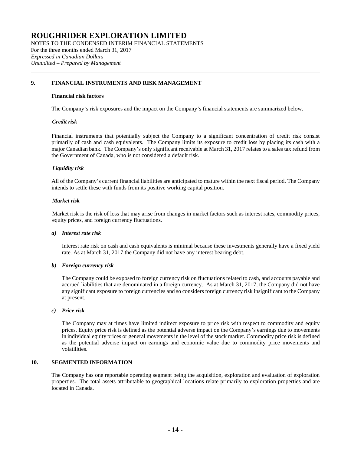NOTES TO THE CONDENSED INTERIM FINANCIAL STATEMENTS For the three months ended March 31, 2017 *Expressed in Canadian Dollars Unaudited – Prepared by Management*

#### **9. FINANCIAL INSTRUMENTS AND RISK MANAGEMENT**

#### **Financial risk factors**

The Company's risk exposures and the impact on the Company's financial statements are summarized below.

#### *Credit risk*

Financial instruments that potentially subject the Company to a significant concentration of credit risk consist primarily of cash and cash equivalents. The Company limits its exposure to credit loss by placing its cash with a major Canadian bank. The Company's only significant receivable at March 31, 2017 relates to a sales tax refund from the Government of Canada, who is not considered a default risk.

#### *Liquidity risk*

All of the Company's current financial liabilities are anticipated to mature within the next fiscal period. The Company intends to settle these with funds from its positive working capital position.

#### *Market risk*

Market risk is the risk of loss that may arise from changes in market factors such as interest rates, commodity prices, equity prices, and foreign currency fluctuations.

#### *a) Interest rate risk*

Interest rate risk on cash and cash equivalents is minimal because these investments generally have a fixed yield rate. As at March 31, 2017 the Company did not have any interest bearing debt.

#### *b) Foreign currency risk*

The Company could be exposed to foreign currency risk on fluctuations related to cash, and accounts payable and accrued liabilities that are denominated in a foreign currency. As at March 31, 2017, the Company did not have any significant exposure to foreign currencies and so considers foreign currency risk insignificant to the Company at present.

#### *c) Price risk*

The Company may at times have limited indirect exposure to price risk with respect to commodity and equity prices. Equity price risk is defined as the potential adverse impact on the Company's earnings due to movements in individual equity prices or general movements in the level of the stock market. Commodity price risk is defined as the potential adverse impact on earnings and economic value due to commodity price movements and volatilities.

#### **10. SEGMENTED INFORMATION**

The Company has one reportable operating segment being the acquisition, exploration and evaluation of exploration properties. The total assets attributable to geographical locations relate primarily to exploration properties and are located in Canada.